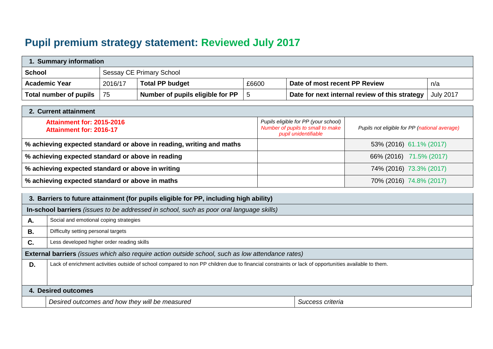## **Pupil premium strategy statement: Reviewed July 2017**

| Summary information    |         |                                  |       |                                                |                  |  |
|------------------------|---------|----------------------------------|-------|------------------------------------------------|------------------|--|
| <b>School</b>          |         | Sessay CE Primary School         |       |                                                |                  |  |
| <b>Academic Year</b>   | 2016/17 | <b>Total PP budget</b>           | £6600 | Date of most recent PP Review                  | n/a              |  |
| Total number of pupils | l 75    | Number of pupils eligible for PP |       | Date for next internal review of this strategy | <b>July 2017</b> |  |

| 2. Current attainment                                                |                                                                                                   |                                               |
|----------------------------------------------------------------------|---------------------------------------------------------------------------------------------------|-----------------------------------------------|
| <b>Attainment for: 2015-2016</b><br>Attainment for: 2016-17          | Pupils eligible for PP (your school)<br>Number of pupils to small to make<br>pupil unidentifiable | Pupils not eligible for PP (national average) |
| % achieving expected standard or above in reading, writing and maths |                                                                                                   | 53% (2016) 61.1% (2017)                       |
| % achieving expected standard or above in reading                    |                                                                                                   | 66% (2016) 71.5% (2017)                       |
| % achieving expected standard or above in writing                    |                                                                                                   | 74% (2016) 73.3% (2017)                       |
| % achieving expected standard or above in maths                      |                                                                                                   | 70% (2016) 74.8% (2017)                       |

|                     | 3. Barriers to future attainment (for pupils eligible for PP, including high ability)                                                                |                  |  |  |  |
|---------------------|------------------------------------------------------------------------------------------------------------------------------------------------------|------------------|--|--|--|
|                     | In-school barriers (issues to be addressed in school, such as poor oral language skills)                                                             |                  |  |  |  |
| Α.                  | Social and emotional coping strategies                                                                                                               |                  |  |  |  |
| В.                  | Difficulty setting personal targets                                                                                                                  |                  |  |  |  |
| C.                  | Less developed higher order reading skills                                                                                                           |                  |  |  |  |
|                     | External barriers (issues which also require action outside school, such as low attendance rates)                                                    |                  |  |  |  |
| D.                  | Lack of enrichment activities outside of school compared to non PP children due to financial constraints or lack of opportunities available to them. |                  |  |  |  |
|                     |                                                                                                                                                      |                  |  |  |  |
| 4. Desired outcomes |                                                                                                                                                      |                  |  |  |  |
|                     | Desired outcomes and how they will be measured                                                                                                       | Success criteria |  |  |  |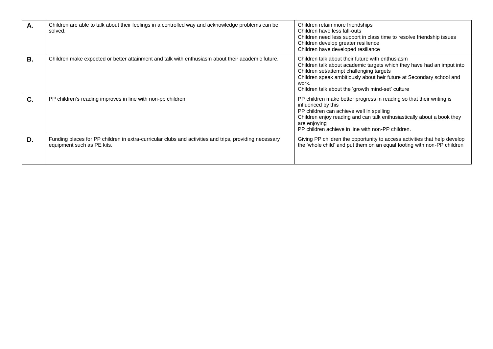| Α.        | Children are able to talk about their feelings in a controlled way and acknowledge problems can be<br>solved.                        | Children retain more friendships<br>Children have less fall-outs<br>Children need less support in class time to resolve friendship issues<br>Children develop greater resilience<br>Children have developed resiliance                                                                                       |
|-----------|--------------------------------------------------------------------------------------------------------------------------------------|--------------------------------------------------------------------------------------------------------------------------------------------------------------------------------------------------------------------------------------------------------------------------------------------------------------|
| <b>B.</b> | Children make expected or better attainment and talk with enthusiasm about their academic future.                                    | Children talk about their future with enthusiasm<br>Children talk about academic targets which they have had an imput into<br>Children set/attempt challenging targets<br>Children speak ambitiously about heir future at Secondary school and<br>work.<br>Children talk about the 'growth mind-set' culture |
| C.        | PP children's reading improves in line with non-pp children                                                                          | PP children make better progress in reading so that their writing is<br>influenced by this<br>PP children can achieve well in spelling<br>Children enjoy reading and can talk enthusiastically about a book they<br>are enjoying<br>PP children achieve in line with non-PP children.                        |
| D.        | Funding places for PP children in extra-curricular clubs and activities and trips, providing necessary<br>equipment such as PE kits. | Giving PP children the opportunity to access activities that help develop<br>the 'whole child' and put them on an equal footing with non-PP children                                                                                                                                                         |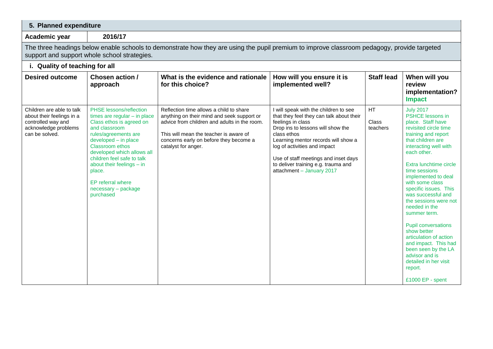| 5. Planned expenditure                                                                                                 |                                                                                                                                                                                                                                                                                                                                              |                                                                                                                                                                                                                                                  |                                                                                                                                                                                                                                                                                                                                               |                                |                                                                                                                                                                                                                                                                                                                                                                                                                                                                                                                                                                             |  |  |
|------------------------------------------------------------------------------------------------------------------------|----------------------------------------------------------------------------------------------------------------------------------------------------------------------------------------------------------------------------------------------------------------------------------------------------------------------------------------------|--------------------------------------------------------------------------------------------------------------------------------------------------------------------------------------------------------------------------------------------------|-----------------------------------------------------------------------------------------------------------------------------------------------------------------------------------------------------------------------------------------------------------------------------------------------------------------------------------------------|--------------------------------|-----------------------------------------------------------------------------------------------------------------------------------------------------------------------------------------------------------------------------------------------------------------------------------------------------------------------------------------------------------------------------------------------------------------------------------------------------------------------------------------------------------------------------------------------------------------------------|--|--|
| Academic year                                                                                                          | 2016/17                                                                                                                                                                                                                                                                                                                                      |                                                                                                                                                                                                                                                  |                                                                                                                                                                                                                                                                                                                                               |                                |                                                                                                                                                                                                                                                                                                                                                                                                                                                                                                                                                                             |  |  |
|                                                                                                                        | The three headings below enable schools to demonstrate how they are using the pupil premium to improve classroom pedagogy, provide targeted<br>support and support whole school strategies.                                                                                                                                                  |                                                                                                                                                                                                                                                  |                                                                                                                                                                                                                                                                                                                                               |                                |                                                                                                                                                                                                                                                                                                                                                                                                                                                                                                                                                                             |  |  |
| i. Quality of teaching for all                                                                                         |                                                                                                                                                                                                                                                                                                                                              |                                                                                                                                                                                                                                                  |                                                                                                                                                                                                                                                                                                                                               |                                |                                                                                                                                                                                                                                                                                                                                                                                                                                                                                                                                                                             |  |  |
| <b>Desired outcome</b>                                                                                                 | Chosen action /<br>approach                                                                                                                                                                                                                                                                                                                  | What is the evidence and rationale<br>for this choice?                                                                                                                                                                                           | How will you ensure it is<br>implemented well?                                                                                                                                                                                                                                                                                                | <b>Staff lead</b>              | When will you<br>review<br>implementation?<br><b>Impact</b>                                                                                                                                                                                                                                                                                                                                                                                                                                                                                                                 |  |  |
| Children are able to talk<br>about their feelings in a<br>controlled way and<br>acknowledge problems<br>can be solved. | <b>PHSE</b> lessons/reflection<br>times are regular $-$ in place<br>Class ethos is agreed on<br>and classroom<br>rules/agreements are<br>developed - in place<br>Classroom ethos<br>developed which allows all<br>children feel safe to talk<br>about their feelings - in<br>place.<br>EP referral where<br>necessary - package<br>purchased | Reflection time allows a child to share<br>anything on their mind and seek support or<br>advice from children and adults in the room.<br>This will mean the teacher is aware of<br>concerns early on before they become a<br>catalyst for anger. | I will speak with the children to see<br>that they feel they can talk about their<br>feelings in class<br>Drop ins to lessons will show the<br>class ethos<br>Learning mentor records will show a<br>log of activities and impact<br>Use of staff meetings and inset days<br>to deliver training e.g. trauma and<br>attachment - January 2017 | <b>HT</b><br>Class<br>teachers | <b>July 2017</b><br><b>PSHCE lessons in</b><br>place. Staff have<br>revisited circle time<br>training and report<br>that children are<br>interacting well with<br>each other.<br>Extra lunchtime circle<br>time sessions<br>implemented to deal<br>with some class<br>specific issues. This<br>was successful and<br>the sessions were not<br>needed in the<br>summer term.<br><b>Pupil conversations</b><br>show better<br>articulation of action<br>and impact. This had<br>been seen by the LA<br>advisor and is<br>detailed in her visit<br>report.<br>£1000 EP - spent |  |  |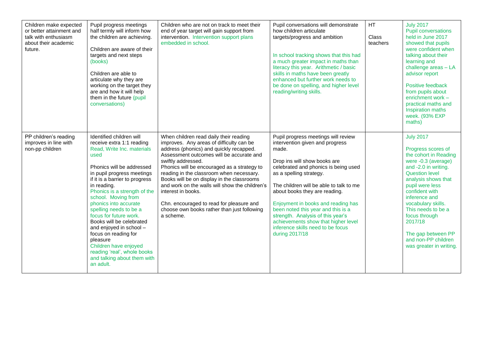| Children make expected<br>or better attainment and<br>talk with enthusiasm<br>about their academic<br>future. | Pupil progress meetings<br>half termly will inform how<br>the children are achieving.<br>Children are aware of their<br>targets and next steps<br>(books)<br>Children are able to<br>articulate why they are<br>working on the target they<br>are and how it will help<br>them in the future (pupil<br>conversations)                                                                                                                                                                                                                      | Children who are not on track to meet their<br>end of year target will gain support from<br>intervention. Intervention support plans<br>embedded in school.                                                                                                                                                                                                                                                                                                                                                              | Pupil conversations will demonstrate<br>how children articulate<br>targets/progress and ambition<br>In school tracking shows that this had<br>a much greater impact in maths than<br>literacy this year. Arithmetic / basic<br>skills in maths have been greatly<br>enhanced but further work needs to<br>be done on spelling, and higher level<br>reading/writing skills.                                                                                                    | <b>HT</b><br>Class<br>teachers | <b>July 2017</b><br><b>Pupil conversations</b><br>held in June 2017<br>showed that pupils<br>were confident when<br>talking about their<br>learning and<br>challenge areas - LA<br>advisor report<br>Positive feedback<br>from pupils about<br>enrichment work -<br>practical maths and<br>Inspiration maths<br>week. (93% EXP<br>maths)                             |
|---------------------------------------------------------------------------------------------------------------|--------------------------------------------------------------------------------------------------------------------------------------------------------------------------------------------------------------------------------------------------------------------------------------------------------------------------------------------------------------------------------------------------------------------------------------------------------------------------------------------------------------------------------------------|--------------------------------------------------------------------------------------------------------------------------------------------------------------------------------------------------------------------------------------------------------------------------------------------------------------------------------------------------------------------------------------------------------------------------------------------------------------------------------------------------------------------------|-------------------------------------------------------------------------------------------------------------------------------------------------------------------------------------------------------------------------------------------------------------------------------------------------------------------------------------------------------------------------------------------------------------------------------------------------------------------------------|--------------------------------|----------------------------------------------------------------------------------------------------------------------------------------------------------------------------------------------------------------------------------------------------------------------------------------------------------------------------------------------------------------------|
| PP children's reading<br>improves in line with<br>non-pp children                                             | Identified children will<br>receive extra 1:1 reading<br>Read, Write Inc. materials<br>used<br>Phonics will be addressed<br>in pupil progress meetings<br>if it is a barrier to progress<br>in reading.<br>Phonics is a strength of the<br>school. Moving from<br>phonics into accurate<br>spelling needs to be a<br>focus for future work.<br>Books will be celebrated<br>and enjoyed in school -<br>focus on reading for<br>pleasure<br>Children have enjoyed<br>reading 'real', whole books<br>and talking about them with<br>an adult. | When children read daily their reading<br>improves. Any areas of difficulty can be<br>address (phonics) and quickly recapped.<br>Assessment outcomes will be accurate and<br>swiftly addressed.<br>Phonics will be encouraged as a strategy to<br>reading in the classroom when necessary.<br>Books will be on display in the classrooms<br>and work on the walls will show the children's<br>interest in books.<br>Chn. encouraged to read for pleasure and<br>choose own books rather than just following<br>a scheme. | Pupil progress meetings will review<br>intervention given and progress<br>made.<br>Drop ins will show books are<br>celebrated and phonics is being used<br>as a spelling strategy.<br>The children will be able to talk to me<br>about books they are reading.<br>Enjoyment in books and reading has<br>been noted this year and this is a<br>strength. Analysis of this year's<br>achievements show that higher level<br>inference skills need to be focus<br>during 2017/18 |                                | <b>July 2017</b><br>Progress scores of<br>the cohort in Reading<br>were -0.3 (average)<br>and -2.0 in writing.<br><b>Question level</b><br>analysis shows that<br>pupil were less<br>confident with<br>inference and<br>vocabulary skills.<br>This needs to be a<br>focus through<br>2017/18<br>The gap between PP<br>and non-PP children<br>was greater in writing. |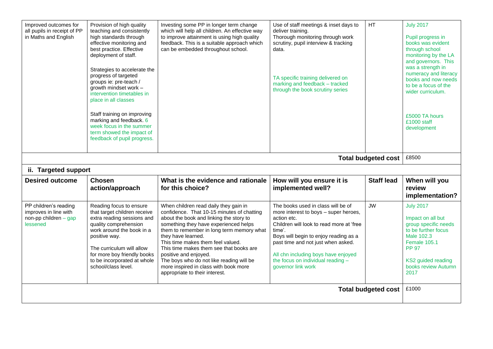| Improved outcomes for<br>all pupils in receipt of PP<br>in Maths and English          | Provision of high quality<br>teaching and consistently<br>high standards through<br>effective monitoring and<br>best practice. Effective<br>deployment of staff.<br>Strategies to accelerate the<br>progress of targeted<br>groups ie: pre-teach /<br>growth mindset work -<br>intervention timetables in<br>place in all classes<br>Staff training on improving<br>marking and feedback. 6<br>week focus in the summer<br>term showed the impact of<br>feedback of pupil progress. | Investing some PP in longer term change<br>which will help all children. An effective way<br>to improve attainment is using high quality<br>feedback. This is a suitable approach which<br>can be embedded throughout school.                                                                                                                                                                                                                                              | Use of staff meetings & inset days to<br>deliver training.<br>Thorough monitoring through work<br>scrutiny, pupil interview & tracking<br>data.<br>TA specific training delivered on<br>marking and feedback - tracked<br>through the book scrutiny series                                                                        | HT                         | <b>July 2017</b><br>Pupil progress in<br>books was evident<br>through school<br>monitoring by the LA<br>and governors. This<br>was a strength in<br>numeracy and literacy<br>books and now needs<br>to be a focus of the<br>wider curriculum.<br>£5000 TA hours<br>£1000 staff<br>development |
|---------------------------------------------------------------------------------------|-------------------------------------------------------------------------------------------------------------------------------------------------------------------------------------------------------------------------------------------------------------------------------------------------------------------------------------------------------------------------------------------------------------------------------------------------------------------------------------|----------------------------------------------------------------------------------------------------------------------------------------------------------------------------------------------------------------------------------------------------------------------------------------------------------------------------------------------------------------------------------------------------------------------------------------------------------------------------|-----------------------------------------------------------------------------------------------------------------------------------------------------------------------------------------------------------------------------------------------------------------------------------------------------------------------------------|----------------------------|-----------------------------------------------------------------------------------------------------------------------------------------------------------------------------------------------------------------------------------------------------------------------------------------------|
|                                                                                       |                                                                                                                                                                                                                                                                                                                                                                                                                                                                                     |                                                                                                                                                                                                                                                                                                                                                                                                                                                                            |                                                                                                                                                                                                                                                                                                                                   | <b>Total budgeted cost</b> | £8500                                                                                                                                                                                                                                                                                         |
| ii. Targeted support                                                                  |                                                                                                                                                                                                                                                                                                                                                                                                                                                                                     |                                                                                                                                                                                                                                                                                                                                                                                                                                                                            |                                                                                                                                                                                                                                                                                                                                   |                            |                                                                                                                                                                                                                                                                                               |
| <b>Desired outcome</b>                                                                | <b>Chosen</b><br>action/approach                                                                                                                                                                                                                                                                                                                                                                                                                                                    | What is the evidence and rationale<br>for this choice?                                                                                                                                                                                                                                                                                                                                                                                                                     | How will you ensure it is<br>implemented well?                                                                                                                                                                                                                                                                                    | <b>Staff lead</b>          | When will you<br>review<br>implementation?                                                                                                                                                                                                                                                    |
| PP children's reading<br>improves in line with<br>non-pp children $-$ gap<br>lessened | Reading focus to ensure<br>that target children receive<br>extra reading sessions and<br>quality comprehension<br>work around the book in a<br>positive way.<br>The curriculum will allow<br>for more boy friendly books<br>to be incorporated at whole<br>school/class level.                                                                                                                                                                                                      | When children read daily they gain in<br>confidence. That 10-15 minutes of chatting<br>about the book and linking the story to<br>something they have experienced helps<br>them to remember in long term memory what<br>they have learned.<br>This time makes them feel valued.<br>This time makes them see that books are<br>positive and enjoyed.<br>The boys who do not like reading will be<br>more inspired in class with book more<br>appropriate to their interest. | The books used in class will be of<br>more interest to boys - super heroes,<br>action etc.<br>Children will look to read more at 'free<br>time'.<br>Boys will begin to enjoy reading as a<br>past time and not just when asked.<br>All chn including boys have enjoyed<br>the focus on individual reading -<br>governor link work | <b>JW</b>                  | <b>July 2017</b><br>Impact on all but<br>group specific needs<br>to be further focus<br>Male 102.3<br>Female 105.1<br><b>PP 97</b><br>KS2 guided reading<br>books review Autumn<br>2017                                                                                                       |
| <b>Total budgeted cost</b>                                                            |                                                                                                                                                                                                                                                                                                                                                                                                                                                                                     |                                                                                                                                                                                                                                                                                                                                                                                                                                                                            |                                                                                                                                                                                                                                                                                                                                   |                            | £1000                                                                                                                                                                                                                                                                                         |